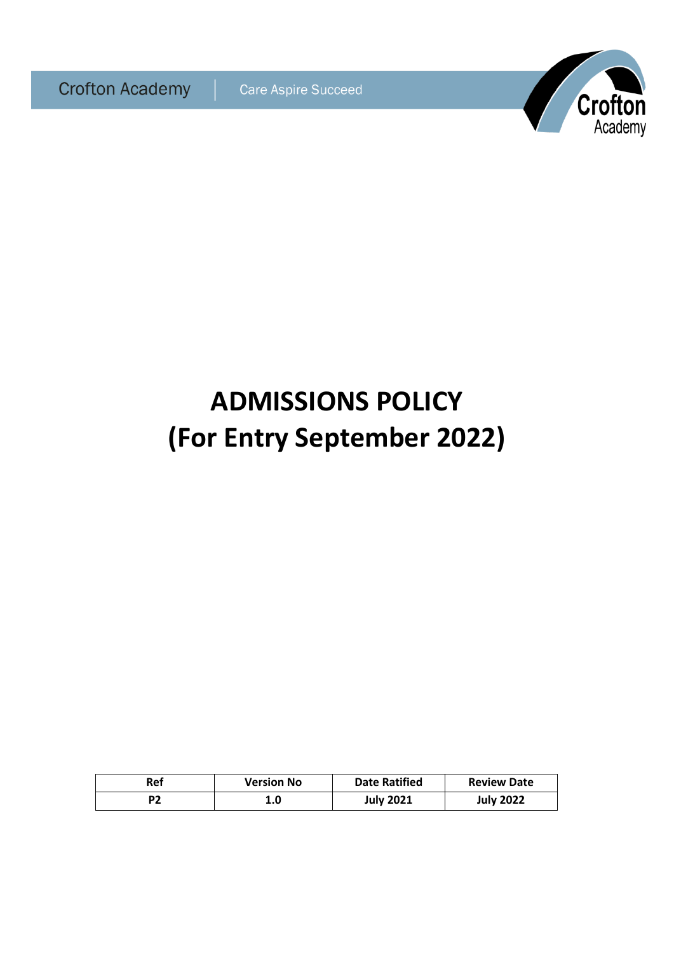

# **ADMISSIONS POLICY (For Entry September 2022)**

| Ref | <b>Version No</b> | <b>Date Ratified</b> | <b>Review Date</b> |
|-----|-------------------|----------------------|--------------------|
|     | 1.0               | <b>July 2021</b>     | <b>July 2022</b>   |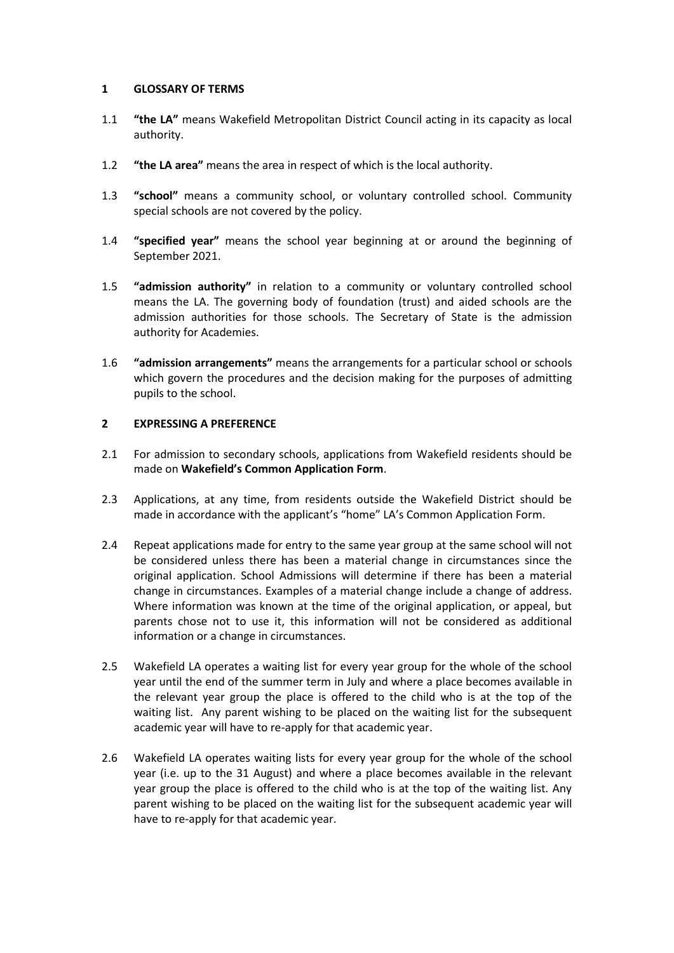# **1 GLOSSARY OF TERMS**

- 1.1 **"the LA"** means Wakefield Metropolitan District Council acting in its capacity as local authority.
- 1.2 **"the LA area"** means the area in respect of which is the local authority.
- 1.3 **"school"** means a community school, or voluntary controlled school. Community special schools are not covered by the policy.
- 1.4 **"specified year"** means the school year beginning at or around the beginning of September 2021.
- 1.5 **"admission authority"** in relation to a community or voluntary controlled school means the LA. The governing body of foundation (trust) and aided schools are the admission authorities for those schools. The Secretary of State is the admission authority for Academies.
- 1.6 **"admission arrangements"** means the arrangements for a particular school or schools which govern the procedures and the decision making for the purposes of admitting pupils to the school.

# **2 EXPRESSING A PREFERENCE**

- 2.1 For admission to secondary schools, applications from Wakefield residents should be made on **Wakefield's Common Application Form**.
- 2.3 Applications, at any time, from residents outside the Wakefield District should be made in accordance with the applicant's "home" LA's Common Application Form.
- 2.4 Repeat applications made for entry to the same year group at the same school will not be considered unless there has been a material change in circumstances since the original application. School Admissions will determine if there has been a material change in circumstances. Examples of a material change include a change of address. Where information was known at the time of the original application, or appeal, but parents chose not to use it, this information will not be considered as additional information or a change in circumstances.
- 2.5 Wakefield LA operates a waiting list for every year group for the whole of the school year until the end of the summer term in July and where a place becomes available in the relevant year group the place is offered to the child who is at the top of the waiting list. Any parent wishing to be placed on the waiting list for the subsequent academic year will have to re-apply for that academic year.
- 2.6 Wakefield LA operates waiting lists for every year group for the whole of the school year (i.e. up to the 31 August) and where a place becomes available in the relevant year group the place is offered to the child who is at the top of the waiting list. Any parent wishing to be placed on the waiting list for the subsequent academic year will have to re-apply for that academic year.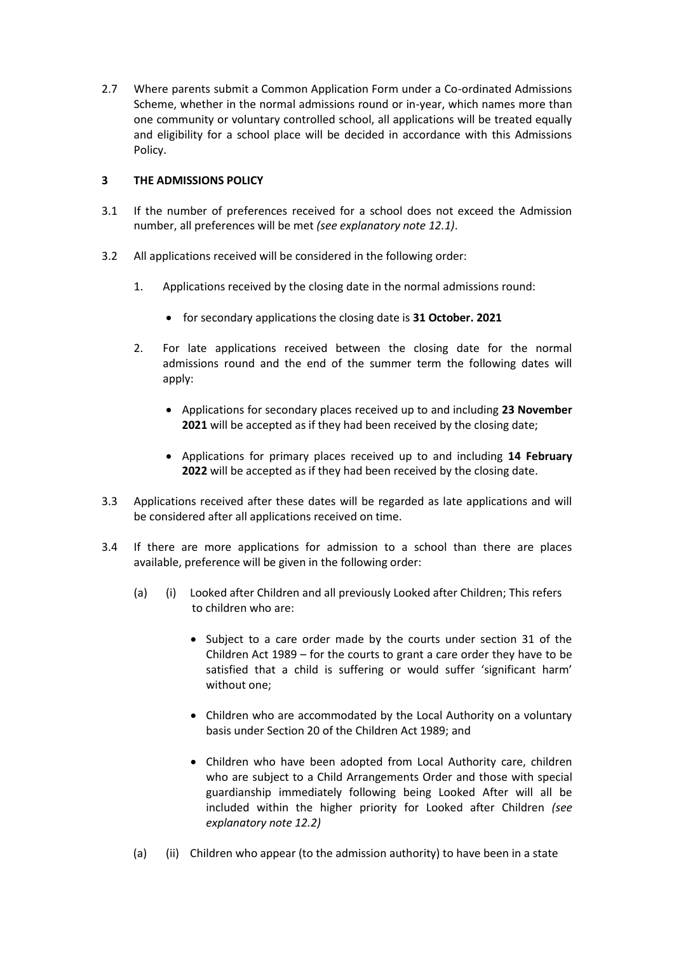2.7 Where parents submit a Common Application Form under a Co-ordinated Admissions Scheme, whether in the normal admissions round or in-year, which names more than one community or voluntary controlled school, all applications will be treated equally and eligibility for a school place will be decided in accordance with this Admissions Policy.

# **3 THE ADMISSIONS POLICY**

- 3.1 If the number of preferences received for a school does not exceed the Admission number, all preferences will be met *(see explanatory note 12.1)*.
- 3.2 All applications received will be considered in the following order:
	- 1. Applications received by the closing date in the normal admissions round:
		- for secondary applications the closing date is **31 October. 2021**
	- 2. For late applications received between the closing date for the normal admissions round and the end of the summer term the following dates will apply:
		- Applications for secondary places received up to and including **23 November 2021** will be accepted as if they had been received by the closing date;
		- Applications for primary places received up to and including **14 February 2022** will be accepted as if they had been received by the closing date.
- 3.3 Applications received after these dates will be regarded as late applications and will be considered after all applications received on time.
- 3.4 If there are more applications for admission to a school than there are places available, preference will be given in the following order:
	- (a) (i) Looked after Children and all previously Looked after Children; This refers to children who are:
		- Subject to a care order made by the courts under section 31 of the Children Act 1989 – for the courts to grant a care order they have to be satisfied that a child is suffering or would suffer 'significant harm' without one;
		- Children who are accommodated by the Local Authority on a voluntary basis under Section 20 of the Children Act 1989; and
		- Children who have been adopted from Local Authority care, children who are subject to a Child Arrangements Order and those with special guardianship immediately following being Looked After will all be included within the higher priority for Looked after Children *(see explanatory note 12.2)*
	- (a) (ii) Children who appear (to the admission authority) to have been in a state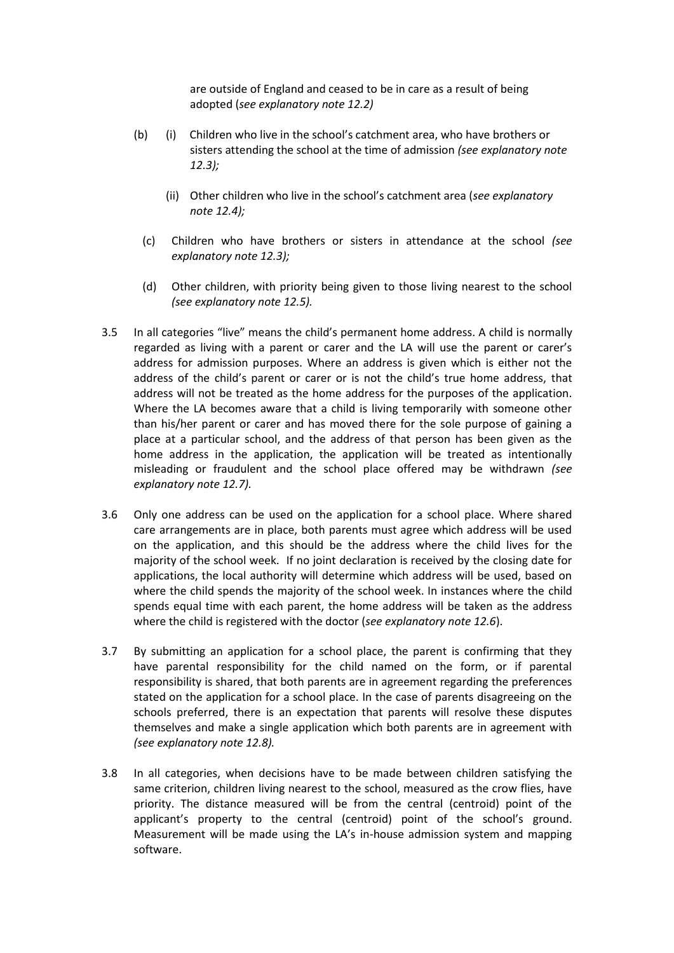are outside of England and ceased to be in care as a result of being adopted (*see explanatory note 12.2)*

- (b) (i) Children who live in the school's catchment area, who have brothers or sisters attending the school at the time of admission *(see explanatory note 12.3);*
	- (ii) Other children who live in the school's catchment area (*see explanatory note 12.4);*
	- (c) Children who have brothers or sisters in attendance at the school *(see explanatory note 12.3);*
	- (d) Other children, with priority being given to those living nearest to the school *(see explanatory note 12.5).*
- 3.5 In all categories "live" means the child's permanent home address. A child is normally regarded as living with a parent or carer and the LA will use the parent or carer's address for admission purposes. Where an address is given which is either not the address of the child's parent or carer or is not the child's true home address, that address will not be treated as the home address for the purposes of the application. Where the LA becomes aware that a child is living temporarily with someone other than his/her parent or carer and has moved there for the sole purpose of gaining a place at a particular school, and the address of that person has been given as the home address in the application, the application will be treated as intentionally misleading or fraudulent and the school place offered may be withdrawn *(see explanatory note 12.7).*
- 3.6 Only one address can be used on the application for a school place. Where shared care arrangements are in place, both parents must agree which address will be used on the application, and this should be the address where the child lives for the majority of the school week. If no joint declaration is received by the closing date for applications, the local authority will determine which address will be used, based on where the child spends the majority of the school week. In instances where the child spends equal time with each parent, the home address will be taken as the address where the child is registered with the doctor (*see explanatory note 12.6*).
- 3.7 By submitting an application for a school place, the parent is confirming that they have parental responsibility for the child named on the form, or if parental responsibility is shared, that both parents are in agreement regarding the preferences stated on the application for a school place. In the case of parents disagreeing on the schools preferred, there is an expectation that parents will resolve these disputes themselves and make a single application which both parents are in agreement with *(see explanatory note 12.8).*
- 3.8 In all categories, when decisions have to be made between children satisfying the same criterion, children living nearest to the school, measured as the crow flies, have priority. The distance measured will be from the central (centroid) point of the applicant's property to the central (centroid) point of the school's ground. Measurement will be made using the LA's in-house admission system and mapping software.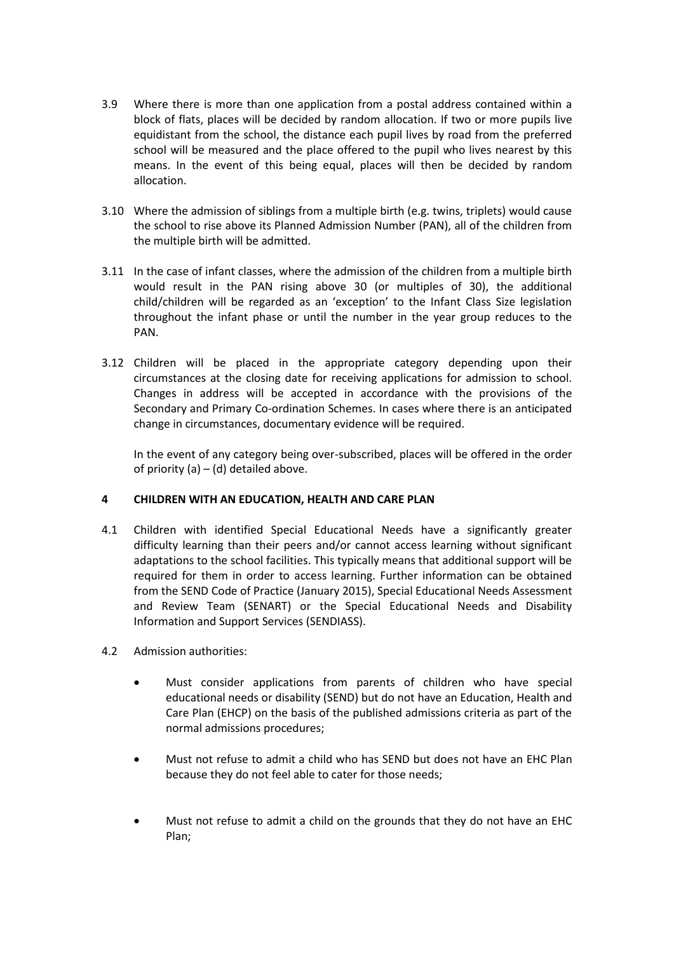- 3.9 Where there is more than one application from a postal address contained within a block of flats, places will be decided by random allocation. If two or more pupils live equidistant from the school, the distance each pupil lives by road from the preferred school will be measured and the place offered to the pupil who lives nearest by this means. In the event of this being equal, places will then be decided by random allocation.
- 3.10 Where the admission of siblings from a multiple birth (e.g. twins, triplets) would cause the school to rise above its Planned Admission Number (PAN), all of the children from the multiple birth will be admitted.
- 3.11 In the case of infant classes, where the admission of the children from a multiple birth would result in the PAN rising above 30 (or multiples of 30), the additional child/children will be regarded as an 'exception' to the Infant Class Size legislation throughout the infant phase or until the number in the year group reduces to the PAN.
- 3.12 Children will be placed in the appropriate category depending upon their circumstances at the closing date for receiving applications for admission to school. Changes in address will be accepted in accordance with the provisions of the Secondary and Primary Co-ordination Schemes. In cases where there is an anticipated change in circumstances, documentary evidence will be required.

In the event of any category being over-subscribed, places will be offered in the order of priority (a)  $-$  (d) detailed above.

# **4 CHILDREN WITH AN EDUCATION, HEALTH AND CARE PLAN**

- 4.1 Children with identified Special Educational Needs have a significantly greater difficulty learning than their peers and/or cannot access learning without significant adaptations to the school facilities. This typically means that additional support will be required for them in order to access learning. Further information can be obtained from the SEND Code of Practice (January 2015), Special Educational Needs Assessment and Review Team (SENART) or the Special Educational Needs and Disability Information and Support Services (SENDIASS).
- 4.2 Admission authorities:
	- Must consider applications from parents of children who have special educational needs or disability (SEND) but do not have an Education, Health and Care Plan (EHCP) on the basis of the published admissions criteria as part of the normal admissions procedures;
	- Must not refuse to admit a child who has SEND but does not have an EHC Plan because they do not feel able to cater for those needs;
	- Must not refuse to admit a child on the grounds that they do not have an EHC Plan;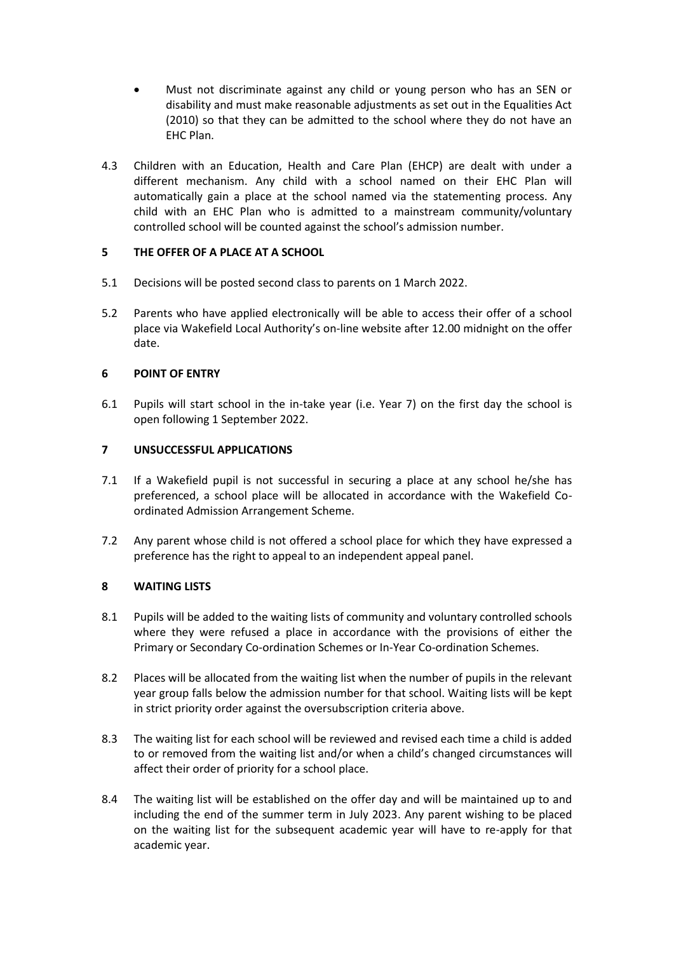- Must not discriminate against any child or young person who has an SEN or disability and must make reasonable adjustments as set out in the Equalities Act (2010) so that they can be admitted to the school where they do not have an EHC Plan.
- 4.3 Children with an Education, Health and Care Plan (EHCP) are dealt with under a different mechanism. Any child with a school named on their EHC Plan will automatically gain a place at the school named via the statementing process. Any child with an EHC Plan who is admitted to a mainstream community/voluntary controlled school will be counted against the school's admission number.

# **5 THE OFFER OF A PLACE AT A SCHOOL**

- 5.1 Decisions will be posted second class to parents on 1 March 2022.
- 5.2 Parents who have applied electronically will be able to access their offer of a school place via Wakefield Local Authority's on-line website after 12.00 midnight on the offer date.

# **6 POINT OF ENTRY**

6.1 Pupils will start school in the in-take year (i.e. Year 7) on the first day the school is open following 1 September 2022.

# **7 UNSUCCESSFUL APPLICATIONS**

- 7.1 If a Wakefield pupil is not successful in securing a place at any school he/she has preferenced, a school place will be allocated in accordance with the Wakefield Coordinated Admission Arrangement Scheme.
- 7.2 Any parent whose child is not offered a school place for which they have expressed a preference has the right to appeal to an independent appeal panel.

# **8 WAITING LISTS**

- 8.1 Pupils will be added to the waiting lists of community and voluntary controlled schools where they were refused a place in accordance with the provisions of either the Primary or Secondary Co-ordination Schemes or In-Year Co-ordination Schemes.
- 8.2 Places will be allocated from the waiting list when the number of pupils in the relevant year group falls below the admission number for that school. Waiting lists will be kept in strict priority order against the oversubscription criteria above.
- 8.3 The waiting list for each school will be reviewed and revised each time a child is added to or removed from the waiting list and/or when a child's changed circumstances will affect their order of priority for a school place.
- 8.4 The waiting list will be established on the offer day and will be maintained up to and including the end of the summer term in July 2023. Any parent wishing to be placed on the waiting list for the subsequent academic year will have to re-apply for that academic year.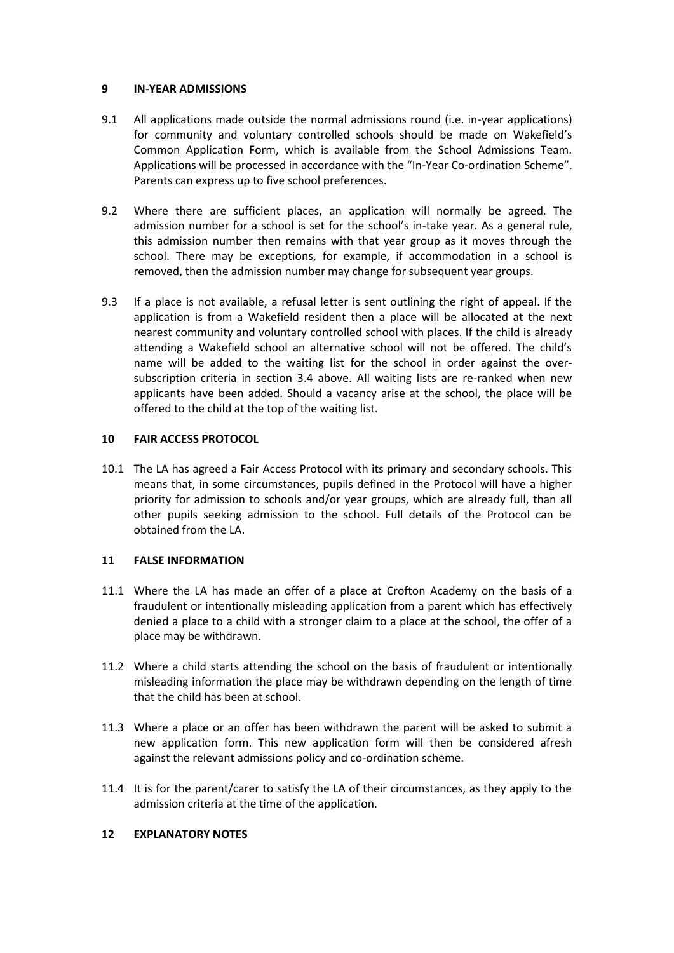# **9 IN-YEAR ADMISSIONS**

- 9.1 All applications made outside the normal admissions round (i.e. in-year applications) for community and voluntary controlled schools should be made on Wakefield's Common Application Form, which is available from the School Admissions Team. Applications will be processed in accordance with the "In-Year Co-ordination Scheme". Parents can express up to five school preferences.
- 9.2 Where there are sufficient places, an application will normally be agreed. The admission number for a school is set for the school's in-take year. As a general rule, this admission number then remains with that year group as it moves through the school. There may be exceptions, for example, if accommodation in a school is removed, then the admission number may change for subsequent year groups.
- 9.3 If a place is not available, a refusal letter is sent outlining the right of appeal. If the application is from a Wakefield resident then a place will be allocated at the next nearest community and voluntary controlled school with places. If the child is already attending a Wakefield school an alternative school will not be offered. The child's name will be added to the waiting list for the school in order against the oversubscription criteria in section 3.4 above. All waiting lists are re-ranked when new applicants have been added. Should a vacancy arise at the school, the place will be offered to the child at the top of the waiting list.

# **10 FAIR ACCESS PROTOCOL**

10.1 The LA has agreed a Fair Access Protocol with its primary and secondary schools. This means that, in some circumstances, pupils defined in the Protocol will have a higher priority for admission to schools and/or year groups, which are already full, than all other pupils seeking admission to the school. Full details of the Protocol can be obtained from the LA.

# **11 FALSE INFORMATION**

- 11.1 Where the LA has made an offer of a place at Crofton Academy on the basis of a fraudulent or intentionally misleading application from a parent which has effectively denied a place to a child with a stronger claim to a place at the school, the offer of a place may be withdrawn.
- 11.2 Where a child starts attending the school on the basis of fraudulent or intentionally misleading information the place may be withdrawn depending on the length of time that the child has been at school.
- 11.3 Where a place or an offer has been withdrawn the parent will be asked to submit a new application form. This new application form will then be considered afresh against the relevant admissions policy and co-ordination scheme.
- 11.4 It is for the parent/carer to satisfy the LA of their circumstances, as they apply to the admission criteria at the time of the application.

# **12 EXPLANATORY NOTES**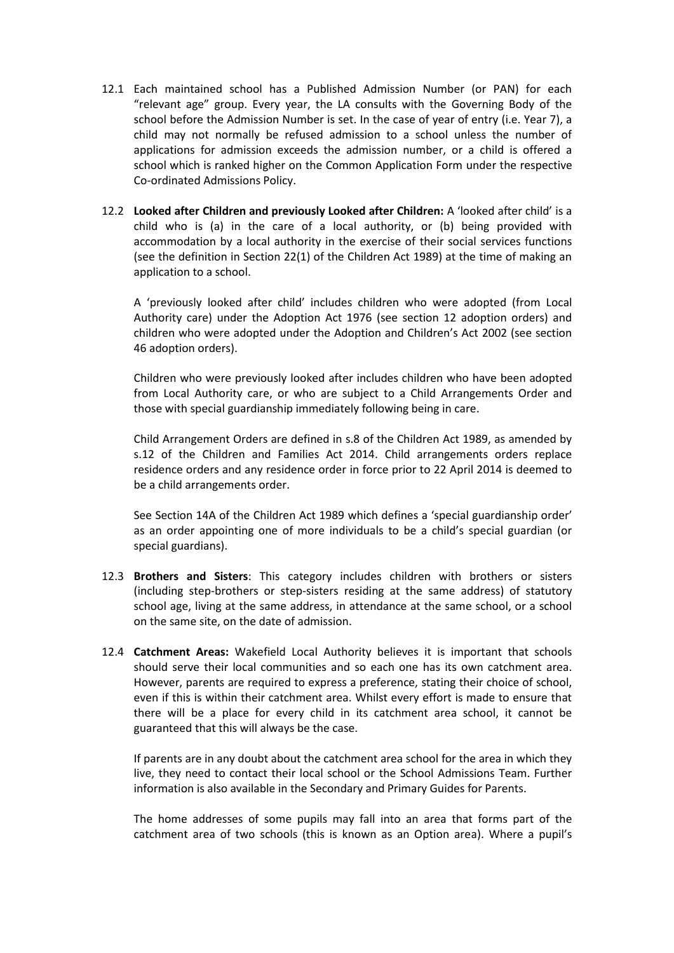- 12.1 Each maintained school has a Published Admission Number (or PAN) for each "relevant age" group. Every year, the LA consults with the Governing Body of the school before the Admission Number is set. In the case of year of entry (i.e. Year 7), a child may not normally be refused admission to a school unless the number of applications for admission exceeds the admission number, or a child is offered a school which is ranked higher on the Common Application Form under the respective Co-ordinated Admissions Policy.
- 12.2 **Looked after Children and previously Looked after Children:** A 'looked after child' is a child who is (a) in the care of a local authority, or (b) being provided with accommodation by a local authority in the exercise of their social services functions (see the definition in Section 22(1) of the Children Act 1989) at the time of making an application to a school.

A 'previously looked after child' includes children who were adopted (from Local Authority care) under the Adoption Act 1976 (see section 12 adoption orders) and children who were adopted under the Adoption and Children's Act 2002 (see section 46 adoption orders).

Children who were previously looked after includes children who have been adopted from Local Authority care, or who are subject to a Child Arrangements Order and those with special guardianship immediately following being in care.

Child Arrangement Orders are defined in s.8 of the Children Act 1989, as amended by s.12 of the Children and Families Act 2014. Child arrangements orders replace residence orders and any residence order in force prior to 22 April 2014 is deemed to be a child arrangements order.

See Section 14A of the Children Act 1989 which defines a 'special guardianship order' as an order appointing one of more individuals to be a child's special guardian (or special guardians).

- 12.3 **Brothers and Sisters**: This category includes children with brothers or sisters (including step-brothers or step-sisters residing at the same address) of statutory school age, living at the same address, in attendance at the same school, or a school on the same site, on the date of admission.
- 12.4 **Catchment Areas:** Wakefield Local Authority believes it is important that schools should serve their local communities and so each one has its own catchment area. However, parents are required to express a preference, stating their choice of school, even if this is within their catchment area. Whilst every effort is made to ensure that there will be a place for every child in its catchment area school, it cannot be guaranteed that this will always be the case.

If parents are in any doubt about the catchment area school for the area in which they live, they need to contact their local school or the School Admissions Team. Further information is also available in the Secondary and Primary Guides for Parents.

The home addresses of some pupils may fall into an area that forms part of the catchment area of two schools (this is known as an Option area). Where a pupil's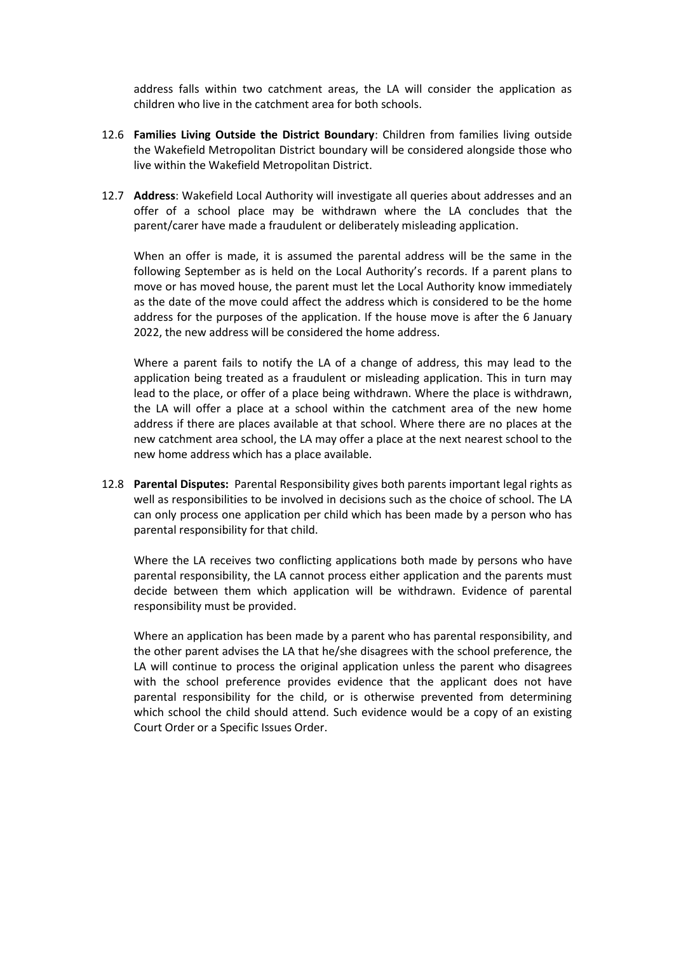address falls within two catchment areas, the LA will consider the application as children who live in the catchment area for both schools.

- 12.6 **Families Living Outside the District Boundary**: Children from families living outside the Wakefield Metropolitan District boundary will be considered alongside those who live within the Wakefield Metropolitan District.
- 12.7 **Address**: Wakefield Local Authority will investigate all queries about addresses and an offer of a school place may be withdrawn where the LA concludes that the parent/carer have made a fraudulent or deliberately misleading application.

When an offer is made, it is assumed the parental address will be the same in the following September as is held on the Local Authority's records. If a parent plans to move or has moved house, the parent must let the Local Authority know immediately as the date of the move could affect the address which is considered to be the home address for the purposes of the application. If the house move is after the 6 January 2022, the new address will be considered the home address.

Where a parent fails to notify the LA of a change of address, this may lead to the application being treated as a fraudulent or misleading application. This in turn may lead to the place, or offer of a place being withdrawn. Where the place is withdrawn, the LA will offer a place at a school within the catchment area of the new home address if there are places available at that school. Where there are no places at the new catchment area school, the LA may offer a place at the next nearest school to the new home address which has a place available.

12.8 **Parental Disputes:** Parental Responsibility gives both parents important legal rights as well as responsibilities to be involved in decisions such as the choice of school. The LA can only process one application per child which has been made by a person who has parental responsibility for that child.

Where the LA receives two conflicting applications both made by persons who have parental responsibility, the LA cannot process either application and the parents must decide between them which application will be withdrawn. Evidence of parental responsibility must be provided.

Where an application has been made by a parent who has parental responsibility, and the other parent advises the LA that he/she disagrees with the school preference, the LA will continue to process the original application unless the parent who disagrees with the school preference provides evidence that the applicant does not have parental responsibility for the child, or is otherwise prevented from determining which school the child should attend. Such evidence would be a copy of an existing Court Order or a Specific Issues Order.